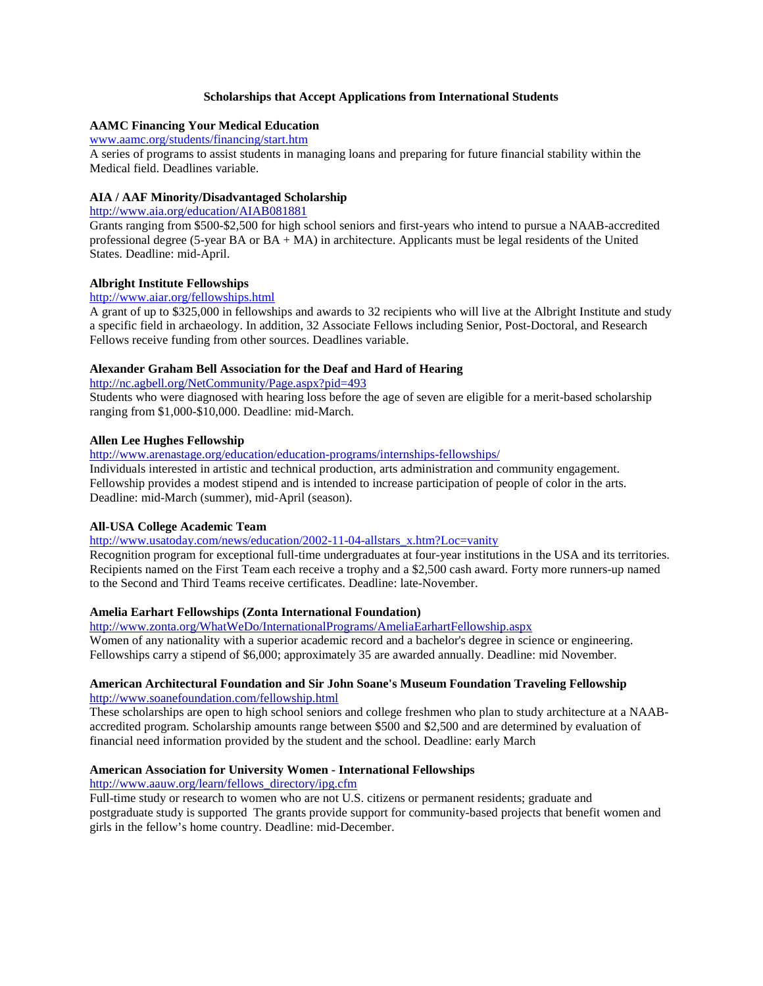## **Scholarships that Accept Applications from International Students**

# **AAMC Financing Your Medical Education**

### [www.aamc.org/students/financing/start.htm](http://www.aamc.org/students/financing/start.htm)

A series of programs to assist students in managing loans and preparing for future financial stability within the Medical field. Deadlines variable.

## **AIA / AAF Minority/Disadvantaged Scholarship**

<http://www.aia.org/education/AIAB081881>

Grants ranging from \$500-\$2,500 for high school seniors and first-years who intend to pursue a NAAB-accredited professional degree (5-year BA or  $BA + MA$ ) in architecture. Applicants must be legal residents of the United States. Deadline: mid-April.

## **Albright Institute Fellowships**

#### <http://www.aiar.org/fellowships.html>

A grant of up to \$325,000 in fellowships and awards to 32 recipients who will live at the Albright Institute and study a specific field in archaeology. In addition, 32 Associate Fellows including Senior, Post-Doctoral, and Research Fellows receive funding from other sources. Deadlines variable.

## **Alexander Graham Bell Association for the Deaf and Hard of Hearing**

<http://nc.agbell.org/NetCommunity/Page.aspx?pid=493>

Students who were diagnosed with hearing loss before the age of seven are eligible for a merit-based scholarship ranging from \$1,000-\$10,000. Deadline: mid-March.

## **Allen Lee Hughes Fellowship**

<http://www.arenastage.org/education/education-programs/internships-fellowships/>

Individuals interested in artistic and technical production, arts administration and community engagement. Fellowship provides a modest stipend and is intended to increase participation of people of color in the arts. Deadline: mid-March (summer), mid-April (season).

## **All-USA College Academic Team**

[http://www.usatoday.com/news/education/2002-11-04-allstars\\_x.htm?Loc=vanity](http://www.usatoday.com/news/education/2002-11-04-allstars_x.htm?Loc=vanity)

Recognition program for exceptional full-time undergraduates at four-year institutions in the USA and its territories. Recipients named on the First Team each receive a trophy and a \$2,500 cash award. Forty more runners-up named to the Second and Third Teams receive certificates. Deadline: late-November.

## **Amelia Earhart Fellowships (Zonta International Foundation)**

<http://www.zonta.org/WhatWeDo/InternationalPrograms/AmeliaEarhartFellowship.aspx>

Women of any nationality with a superior academic record and a bachelor's degree in science or engineering. Fellowships carry a stipend of \$6,000; approximately 35 are awarded annually. Deadline: mid November.

#### **American Architectural Foundation and Sir John Soane's Museum Foundation Traveling Fellowship** <http://www.soanefoundation.com/fellowship.html>

These scholarships are open to high school seniors and college freshmen who plan to study architecture at a NAABaccredited program. Scholarship amounts range between \$500 and \$2,500 and are determined by evaluation of financial need information provided by the student and the school. Deadline: early March

## **American Association for University Women - International Fellowships**

[http://www.aauw.org/learn/fellows\\_directory/ipg.cfm](http://www.aauw.org/learn/fellows_directory/ipg.cfm)

Full-time study or research to women who are not U.S. citizens or permanent residents; graduate and postgraduate study is supported The grants provide support for community-based projects that benefit women and girls in the fellow's home country. Deadline: mid-December.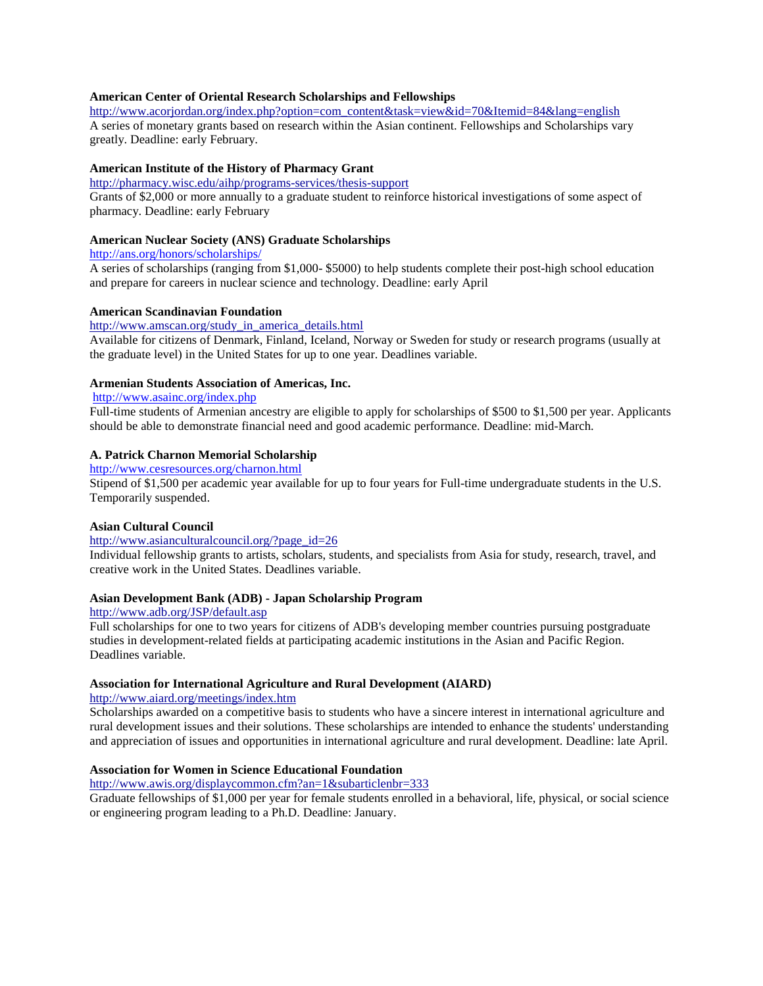## **American Center of Oriental Research Scholarships and Fellowships**

[http://www.acorjordan.org/index.php?option=com\\_content&task=view&id=70&Itemid=84&lang=english](http://www.acorjordan.org/index.php?option=com_content&task=view&id=70&Itemid=84&lang=english)

A series of monetary grants based on research within the Asian continent. Fellowships and Scholarships vary greatly. Deadline: early February.

## **American Institute of the History of Pharmacy Grant**

#### <http://pharmacy.wisc.edu/aihp/programs-services/thesis-support>

Grants of \$2,000 or more annually to a graduate student to reinforce historical investigations of some aspect of pharmacy. Deadline: early February

## **American Nuclear Society (ANS) Graduate Scholarships**

<http://ans.org/honors/scholarships/>

A series of scholarships (ranging from \$1,000- \$5000) to help students complete their post-high school education and prepare for careers in nuclear science and technology. Deadline: early April

#### **American Scandinavian Foundation**

[http://www.amscan.org/study\\_in\\_america\\_details.html](http://www.amscan.org/study_in_america_details.html)

Available for citizens of Denmark, Finland, Iceland, Norway or Sweden for study or research programs (usually at the graduate level) in the United States for up to one year. Deadlines variable.

## **Armenian Students Association of Americas, Inc.**

## <http://www.asainc.org/index.php>

Full-time students of Armenian ancestry are eligible to apply for scholarships of \$500 to \$1,500 per year. Applicants should be able to demonstrate financial need and good academic performance. Deadline: mid-March.

# **A. Patrick Charnon Memorial Scholarship**

<http://www.cesresources.org/charnon.html>

Stipend of \$1,500 per academic year available for up to four years for Full-time undergraduate students in the U.S. Temporarily suspended.

#### **Asian Cultural Council**

## [http://www.asianculturalcouncil.org/?page\\_id=26](http://www.asianculturalcouncil.org/?page_id=26)

Individual fellowship grants to artists, scholars, students, and specialists from Asia for study, research, travel, and creative work in the United States. Deadlines variable.

#### **Asian Development Bank (ADB) - Japan Scholarship Program**

## <http://www.adb.org/JSP/default.asp>

Full scholarships for one to two years for citizens of ADB's developing member countries pursuing postgraduate studies in development-related fields at participating academic institutions in the Asian and Pacific Region. Deadlines variable.

## **Association for International Agriculture and Rural Development (AIARD)**

<http://www.aiard.org/meetings/index.htm>

Scholarships awarded on a competitive basis to students who have a sincere interest in international agriculture and rural development issues and their solutions. These scholarships are intended to enhance the students' understanding and appreciation of issues and opportunities in international agriculture and rural development. Deadline: late April.

## **Association for Women in Science Educational Foundation**

<http://www.awis.org/displaycommon.cfm?an=1&subarticlenbr=333>

Graduate fellowships of \$1,000 per year for female students enrolled in a behavioral, life, physical, or social science or engineering program leading to a Ph.D. Deadline: January.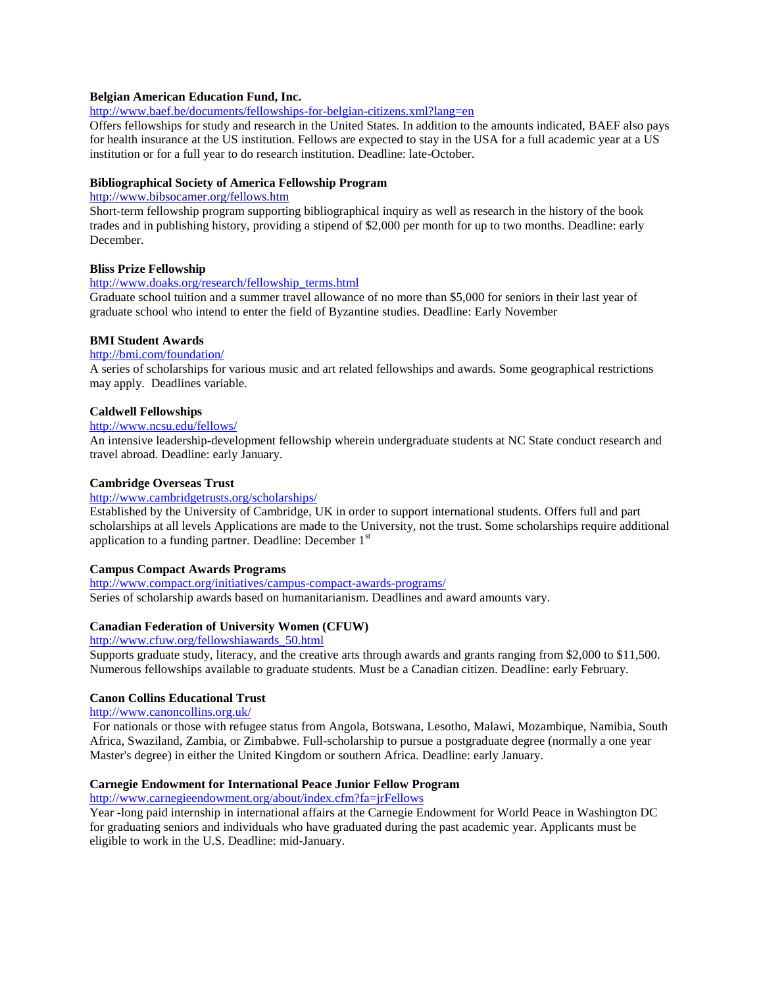#### **Belgian American Education Fund, Inc.**

<http://www.baef.be/documents/fellowships-for-belgian-citizens.xml?lang=en>

Offers fellowships for study and research in the United States. In addition to the amounts indicated, BAEF also pays for health insurance at the US institution. Fellows are expected to stay in the USA for a full academic year at a US institution or for a full year to do research institution. Deadline: late-October.

#### **Bibliographical Society of America Fellowship Program**

#### <http://www.bibsocamer.org/fellows.htm>

Short-term fellowship program supporting bibliographical inquiry as well as research in the history of the book trades and in publishing history, providing a stipend of \$2,000 per month for up to two months. Deadline: early December.

#### **Bliss Prize Fellowship**

#### [http://www.doaks.org/research/fellowship\\_terms.html](http://www.doaks.org/research/fellowship_terms.html)

Graduate school tuition and a summer travel allowance of no more than \$5,000 for seniors in their last year of graduate school who intend to enter the field of Byzantine studies. Deadline: Early November

#### **BMI Student Awards**

#### <http://bmi.com/foundation/>

A series of scholarships for various music and art related fellowships and awards. Some geographical restrictions may apply. Deadlines variable.

#### **Caldwell Fellowships**

## <http://www.ncsu.edu/fellows/>

An intensive leadership-development fellowship wherein undergraduate students at NC State conduct research and travel abroad. Deadline: early January.

#### **Cambridge Overseas Trust**

#### http://www.cambridgetrusts.org/scholarships/

Established by the University of Cambridge, UK in order to support international students. Offers full and part scholarships at all levels Applications are made to the University, not the trust. Some scholarships require additional application to a funding partner. Deadline: December  $1<sup>st</sup>$ 

#### **Campus Compact Awards Programs**

<http://www.compact.org/initiatives/campus-compact-awards-programs/> Series of scholarship awards based on humanitarianism. Deadlines and award amounts vary.

#### **Canadian Federation of University Women (CFUW)**

[http://www.cfuw.org/fellowshiawards\\_50.html](http://www.cfuw.org/fellowshiawards_50.html)

Supports graduate study, literacy, and the creative arts through awards and grants ranging from \$2,000 to \$11,500. Numerous fellowships available to graduate students. Must be a Canadian citizen. Deadline: early February.

## **Canon Collins Educational Trust**

<http://www.canoncollins.org.uk/>

For nationals or those with refugee status from Angola, Botswana, Lesotho, Malawi, Mozambique, Namibia, South Africa, Swaziland, Zambia, or Zimbabwe. Full-scholarship to pursue a postgraduate degree (normally a one year Master's degree) in either the United Kingdom or southern Africa. Deadline: early January.

## **Carnegie Endowment for International Peace Junior Fellow Program**

<http://www.carnegieendowment.org/about/index.cfm?fa=jrFellows>

Year -long paid internship in international affairs at the Carnegie Endowment for World Peace in Washington DC for graduating seniors and individuals who have graduated during the past academic year. Applicants must be eligible to work in the U.S. Deadline: mid-January.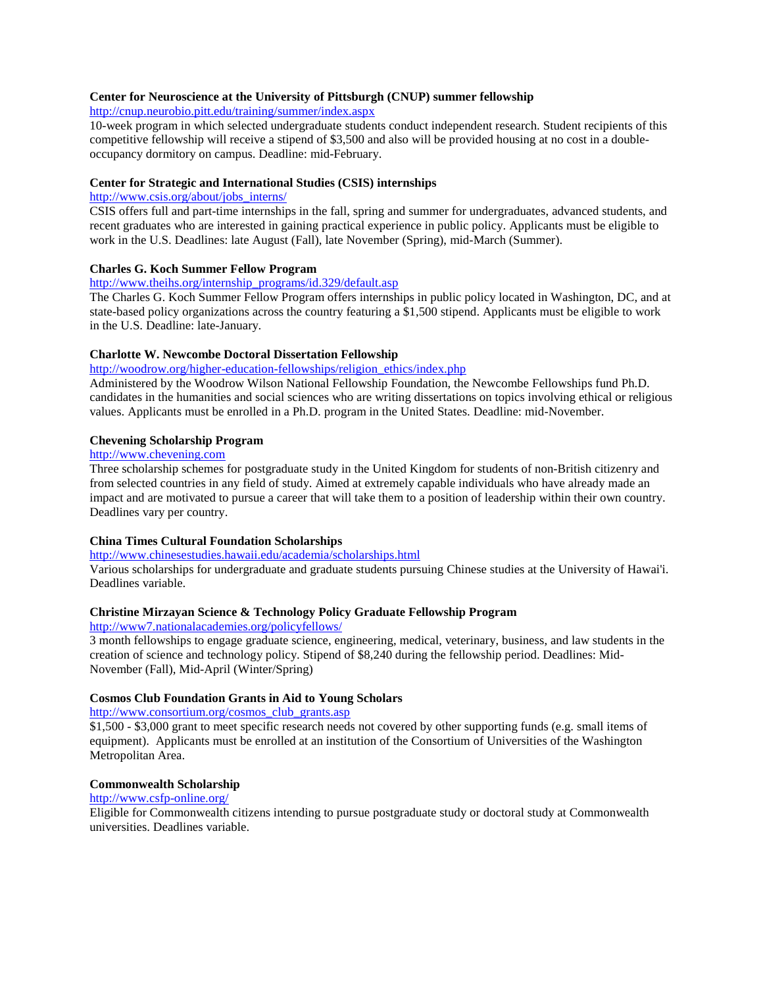## **Center for Neuroscience at the University of Pittsburgh (CNUP) summer fellowship**

<http://cnup.neurobio.pitt.edu/training/summer/index.aspx>

10-week program in which selected undergraduate students conduct independent research. Student recipients of this competitive fellowship will receive a stipend of \$3,500 and also will be provided housing at no cost in a doubleoccupancy dormitory on campus. Deadline: mid-February.

## **Center for Strategic and International Studies (CSIS) internships**

## [http://www.csis.org/about/jobs\\_interns/](http://www.csis.org/about/jobs_interns/)

CSIS offers full and part-time internships in the fall, spring and summer for undergraduates, advanced students, and recent graduates who are interested in gaining practical experience in public policy. Applicants must be eligible to work in the U.S. Deadlines: late August (Fall), late November (Spring), mid-March (Summer).

#### **Charles G. Koch Summer Fellow Program**

#### [http://www.theihs.org/internship\\_programs/id.329/default.asp](http://www.theihs.org/internship_programs/id.329/default.asp)

The Charles G. Koch Summer Fellow Program offers internships in public policy located in Washington, DC, and at state-based policy organizations across the country featuring a \$1,500 stipend. Applicants must be eligible to work in the U.S. Deadline: late-January.

#### **Charlotte W. Newcombe Doctoral Dissertation Fellowship**

## [http://woodrow.org/higher-education-fellowships/religion\\_ethics/index.php](http://woodrow.org/higher-education-fellowships/religion_ethics/index.php)

Administered by the Woodrow Wilson National Fellowship Foundation, the Newcombe Fellowships fund Ph.D. candidates in the humanities and social sciences who are writing dissertations on topics involving ethical or religious values. Applicants must be enrolled in a Ph.D. program in the United States. Deadline: mid-November.

#### **Chevening Scholarship Program**

## [http://www.chevening.com](http://www.chevening.com/)

Three scholarship schemes for postgraduate study in the United Kingdom for students of non-British citizenry and from selected countries in any field of study. Aimed at extremely capable individuals who have already made an impact and are motivated to pursue a career that will take them to a position of leadership within their own country. Deadlines vary per country.

## **China Times Cultural Foundation Scholarships**

## <http://www.chinesestudies.hawaii.edu/academia/scholarships.html>

Various scholarships for undergraduate and graduate students pursuing Chinese studies at the University of Hawai'i. Deadlines variable.

## **Christine Mirzayan Science & Technology Policy Graduate Fellowship Program**

#### <http://www7.nationalacademies.org/policyfellows/>

3 month fellowships to engage graduate science, engineering, medical, veterinary, business, and law students in the creation of science and technology policy. Stipend of \$8,240 during the fellowship period. Deadlines: Mid-November (Fall), Mid-April (Winter/Spring)

## **Cosmos Club Foundation Grants in Aid to Young Scholars**

[http://www.consortium.org/cosmos\\_club\\_grants.asp](http://www.consortium.org/cosmos_club_grants.asp)

\$1,500 - \$3,000 grant to meet specific research needs not covered by other supporting funds (e.g. small items of equipment). Applicants must be enrolled at an institution of the Consortium of Universities of the Washington Metropolitan Area.

#### **Commonwealth Scholarship**

# <http://www.csfp-online.org/>

Eligible for Commonwealth citizens intending to pursue postgraduate study or doctoral study at Commonwealth universities. Deadlines variable.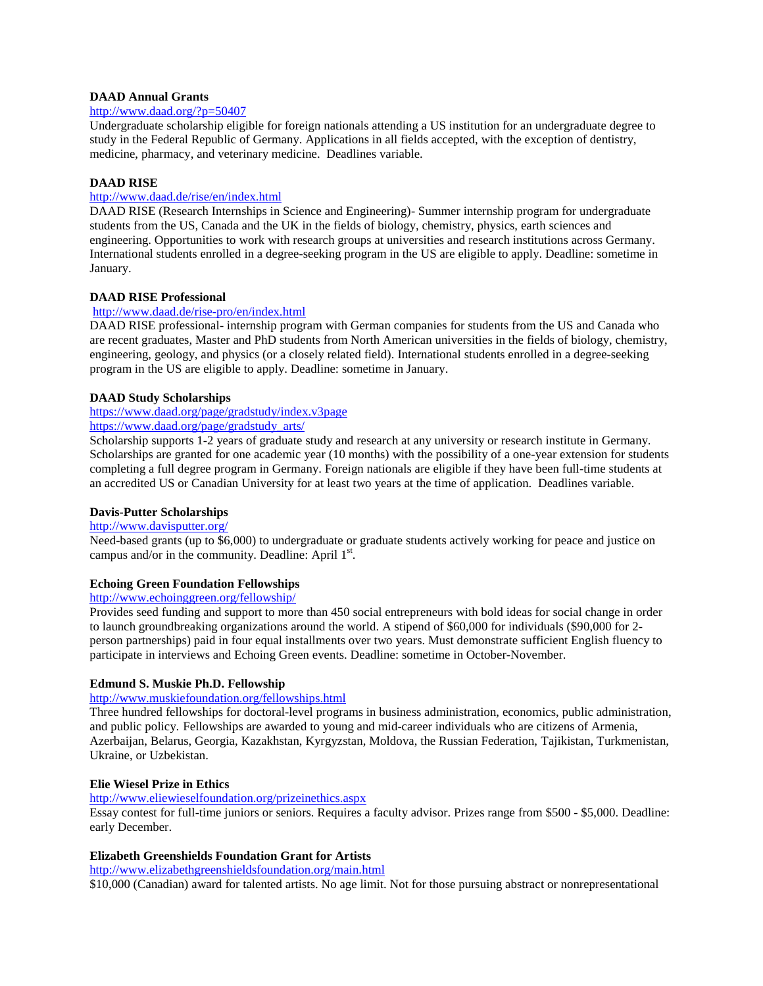## **DAAD Annual Grants**

## <http://www.daad.org/?p=50407>

Undergraduate scholarship eligible for foreign nationals attending a US institution for an undergraduate degree to study in the Federal Republic of Germany. Applications in all fields accepted, with the exception of dentistry, medicine, pharmacy, and veterinary medicine. Deadlines variable.

## **DAAD RISE**

## <http://www.daad.de/rise/en/index.html>

DAAD RISE (Research Internships in Science and Engineering)- Summer internship program for undergraduate students from the US, Canada and the UK in the fields of biology, chemistry, physics, earth sciences and engineering. Opportunities to work with research groups at universities and research institutions across Germany. International students enrolled in a degree-seeking program in the US are eligible to apply. Deadline: sometime in January.

## **DAAD RISE Professional**

## <http://www.daad.de/rise-pro/en/index.html>

DAAD RISE professional- internship program with German companies for students from the US and Canada who are recent graduates, Master and PhD students from North American universities in the fields of biology, chemistry, engineering, geology, and physics (or a closely related field). International students enrolled in a degree-seeking program in the US are eligible to apply. Deadline: sometime in January.

## **DAAD Study Scholarships**

# <https://www.daad.org/page/gradstudy/index.v3page>

## [https://www.daad.org/page/gradstudy\\_arts/](https://www.daad.org/page/gradstudy_arts/)

Scholarship supports 1-2 years of graduate study and research at any university or research institute in Germany. Scholarships are granted for one academic year (10 months) with the possibility of a one-year extension for students completing a full degree program in Germany. Foreign nationals are eligible if they have been full-time students at an accredited US or Canadian University for at least two years at the time of application. Deadlines variable.

## **Davis-Putter Scholarships**

## <http://www.davisputter.org/>

Need-based grants (up to \$6,000) to undergraduate or graduate students actively working for peace and justice on campus and/or in the community. Deadline: April  $1<sup>st</sup>$ .

## **Echoing Green Foundation Fellowships**

## http://www.echoinggreen.org/fellowship/

Provides seed funding and support to more than 450 social entrepreneurs with bold ideas for social change in order to launch groundbreaking organizations around the world. A stipend of \$60,000 for individuals (\$90,000 for 2 person partnerships) paid in four equal installments over two years. Must demonstrate sufficient English fluency to participate in interviews and Echoing Green events. Deadline: sometime in October-November.

#### **Edmund S. Muskie Ph.D. Fellowship**

# <http://www.muskiefoundation.org/fellowships.html>

Three hundred fellowships for doctoral-level programs in business administration, economics, public administration, and public policy. Fellowships are awarded to young and mid-career individuals who are citizens of Armenia, Azerbaijan, Belarus, Georgia, Kazakhstan, Kyrgyzstan, Moldova, the Russian Federation, Tajikistan, Turkmenistan, Ukraine, or Uzbekistan.

#### **Elie Wiesel Prize in Ethics**

# <http://www.eliewieselfoundation.org/prizeinethics.aspx>

Essay contest for full-time juniors or seniors. Requires a faculty advisor. Prizes range from \$500 - \$5,000. Deadline: early December.

## **Elizabeth Greenshields Foundation Grant for Artists**

<http://www.elizabethgreenshieldsfoundation.org/main.html>

\$10,000 (Canadian) award for talented artists. No age limit. Not for those pursuing abstract or nonrepresentational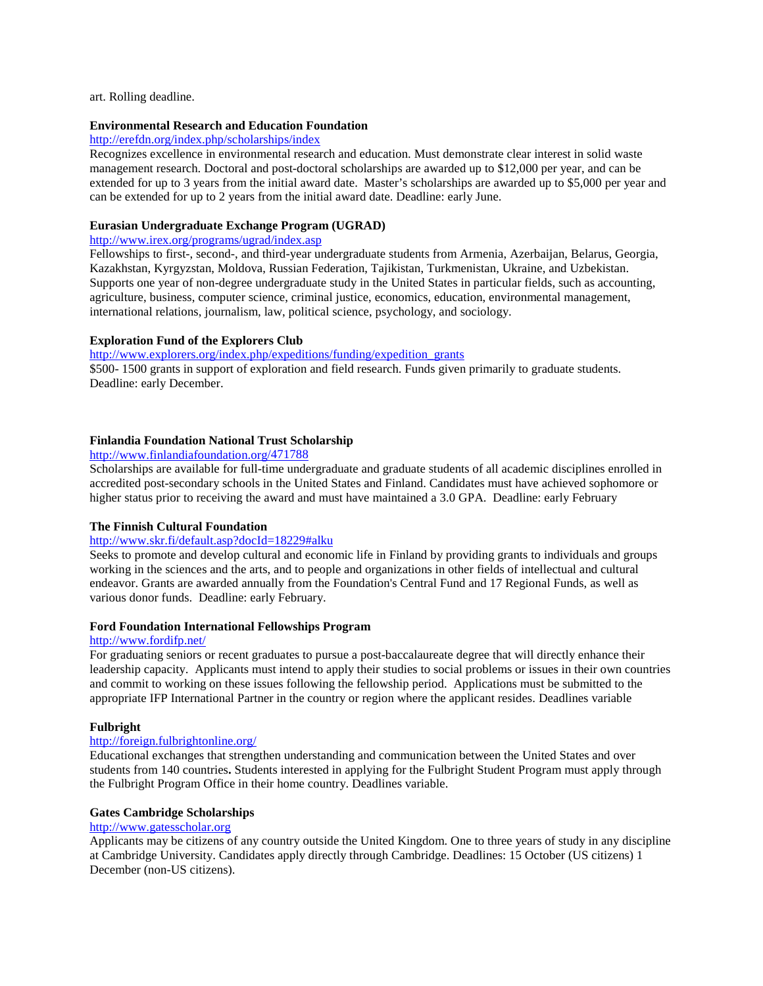#### art. Rolling deadline.

## **Environmental Research and Education Foundation**

## <http://erefdn.org/index.php/scholarships/index>

Recognizes excellence in environmental research and education. Must demonstrate clear interest in solid waste management research. Doctoral and post-doctoral scholarships are awarded up to \$12,000 per year, and can be extended for up to 3 years from the initial award date. Master's scholarships are awarded up to \$5,000 per year and can be extended for up to 2 years from the initial award date. Deadline: early June.

## **Eurasian Undergraduate Exchange Program (UGRAD)**

## <http://www.irex.org/programs/ugrad/index.asp>

Fellowships to first-, second-, and third-year undergraduate students from Armenia, Azerbaijan, Belarus, Georgia, Kazakhstan, Kyrgyzstan, Moldova, Russian Federation, Tajikistan, Turkmenistan, Ukraine, and Uzbekistan. Supports one year of non-degree undergraduate study in the United States in particular fields, such as accounting, agriculture, business, computer science, criminal justice, economics, education, environmental management, international relations, journalism, law, political science, psychology, and sociology.

#### **Exploration Fund of the Explorers Club**

[http://www.explorers.org/index.php/expeditions/funding/expedition\\_grants](http://www.explorers.org/index.php/expeditions/funding/expedition_grants) \$500- 1500 grants in support of exploration and field research. Funds given primarily to graduate students. Deadline: early December.

#### **[Finlandia](http://www.finlandiafoundation.org/) [Foundation](http://www.finlandiafoundation.org/) [National](http://www.finlandiafoundation.org/) [Trust](http://www.finlandiafoundation.org/) [Scholarship](http://www.finlandiafoundation.org/)**

## <http://www.finlandiafoundation.org/471788>

Scholarships are available for full-time undergraduate and graduate students of all academic disciplines enrolled in accredited post-secondary schools in the United States and Finland. Candidates must have achieved sophomore or higher status prior to receiving the award and must have maintained a 3.0 GPA. Deadline: early February

#### **[The](http://www.skr.fi/default.asp?docId=12966) [Finnish](http://www.skr.fi/default.asp?docId=12966) [Cultural](http://www.skr.fi/default.asp?docId=12966) [Foundation](http://www.skr.fi/default.asp?docId=12966)**

#### <http://www.skr.fi/default.asp?docId=18229#alku>

Seeks to promote and develop cultural and economic life in Finland by providing grants to individuals and groups working in the sciences and the arts, and to people and organizations in other fields of intellectual and cultural endeavor. Grants are awarded annually from the Foundation's Central Fund and 17 Regional Funds, as well as various donor funds. Deadline: early February.

#### **[Ford](http://www.fordifp.net/) [Foundation](http://www.fordifp.net/) [International](http://www.fordifp.net/) [Fellowships](http://www.fordifp.net/) [Program](http://www.fordifp.net/)**

#### <http://www.fordifp.net/>

For graduating seniors or recent graduates to pursue a post-baccalaureate degree that will directly enhance their leadership capacity. Applicants must intend to apply their studies to social problems or issues in their own countries and commit to working on these issues following the fellowship period. Applications must be submitted to the appropriate IFP International Partner in the country or region where the applicant resides. Deadlines variable

#### **Fulbright**

## <http://foreign.fulbrightonline.org/>

Educational exchanges that strengthen understanding and communication between the United States and over students from 140 countries**.** Students interested in applying for the Fulbright Student Program must apply through the Fulbright Program Office in their home country. Deadlines variable.

#### **Gates Cambridge Scholarships**

### http://www.gatesscholar.org

Applicants may be citizens of any country outside the United Kingdom. One to three years of study in any discipline at Cambridge University. Candidates apply directly through Cambridge. Deadlines: 15 October (US citizens) 1 December (non-US citizens).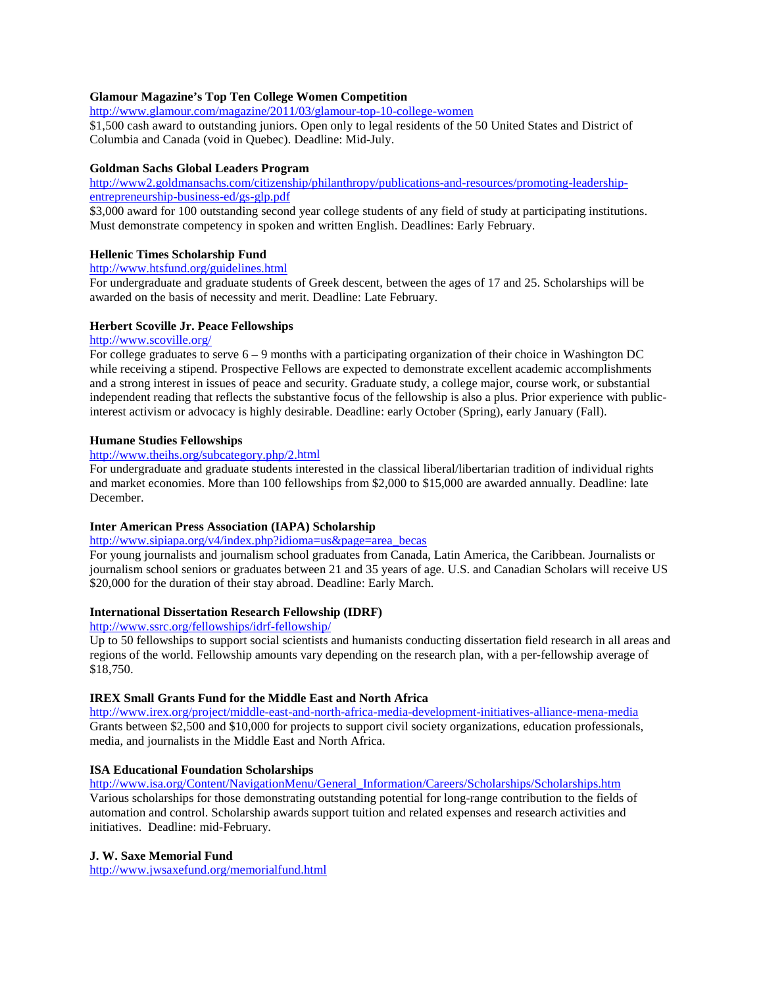## **Glamour Magazine's Top Ten College Women Competition**

<http://www.glamour.com/magazine/2011/03/glamour-top-10-college-women>

\$1,500 cash award to outstanding juniors. Open only to legal residents of the 50 United States and District of Columbia and Canada (void in Quebec). Deadline: Mid-July.

## **Goldman Sachs Global Leaders Program**

[http://www2.goldmansachs.com/citizenship/philanthropy/publications-and-resources/promoting-leadership](http://www2.goldmansachs.com/citizenship/philanthropy/publications-and-resources/promoting-leadership-entrepreneurship-business-ed/gs-glp.pdf)[entrepreneurship-business-ed/gs-glp.pdf](http://www2.goldmansachs.com/citizenship/philanthropy/publications-and-resources/promoting-leadership-entrepreneurship-business-ed/gs-glp.pdf)

\$3,000 award for 100 outstanding second year college students of any field of study at participating institutions. Must demonstrate competency in spoken and written English. Deadlines: Early February.

## **Hellenic Times Scholarship Fund**

## <http://www.htsfund.org/guidelines.html>

For undergraduate and graduate students of Greek descent, between the ages of 17 and 25. Scholarships will be awarded on the basis of necessity and merit. Deadline: Late February.

#### **Herbert Scoville Jr. Peace Fellowships**

## <http://www.scoville.org/>

For college graduates to serve 6 – 9 months with a participating organization of their choice in Washington DC while receiving a stipend. Prospective Fellows are expected to demonstrate excellent academic accomplishments and a strong interest in issues of peace and security. Graduate study, a college major, course work, or substantial independent reading that reflects the substantive focus of the fellowship is also a plus. Prior experience with publicinterest activism or advocacy is highly desirable. Deadline: early October (Spring), early January (Fall).

## **Humane Studies Fellowships**

## <http://www.theihs.org/subcategory.php/2.html>

For undergraduate and graduate students interested in the classical liberal/libertarian tradition of individual rights and market economies. More than 100 fellowships from \$2,000 to \$15,000 are awarded annually. Deadline: late December.

## **Inter American Press Association (IAPA) Scholarship**

## [http://www.sipiapa.org/v4/index.php?idioma=us&page=area\\_becas](http://www.sipiapa.org/v4/index.php?idioma=us&page=area_becas)

For young journalists and journalism school graduates from Canada, Latin America, the Caribbean. Journalists or journalism school seniors or graduates between 21 and 35 years of age. U.S. and Canadian Scholars will receive US \$20,000 for the duration of their stay abroad. Deadline: Early March.

## **International Dissertation Research Fellowship (IDRF)**

## <http://www.ssrc.org/fellowships/idrf-fellowship/>

Up to 50 fellowships to support social scientists and humanists conducting dissertation field research in all areas and regions of the world. Fellowship amounts vary depending on the research plan, with a per-fellowship average of \$18,750.

## **IREX Small Grants Fund for the Middle East and North Africa**

<http://www.irex.org/project/middle-east-and-north-africa-media-development-initiatives-alliance-mena-media> Grants between \$2,500 and \$10,000 for projects to support civil society organizations, education professionals, media, and journalists in the Middle East and North Africa.

## **ISA Educational Foundation Scholarships**

[http://www.isa.org/Content/NavigationMenu/General\\_Information/Careers/Scholarships/Scholarships.htm](http://www.isa.org/Content/NavigationMenu/General_Information/Careers/Scholarships/Scholarships.htm) Various scholarships for those demonstrating outstanding potential for long-range contribution to the fields of automation and control. Scholarship awards support tuition and related expenses and research activities and initiatives. Deadline: mid-February.

#### **J. W. Saxe Memorial Fund**

<http://www.jwsaxefund.org/memorialfund.html>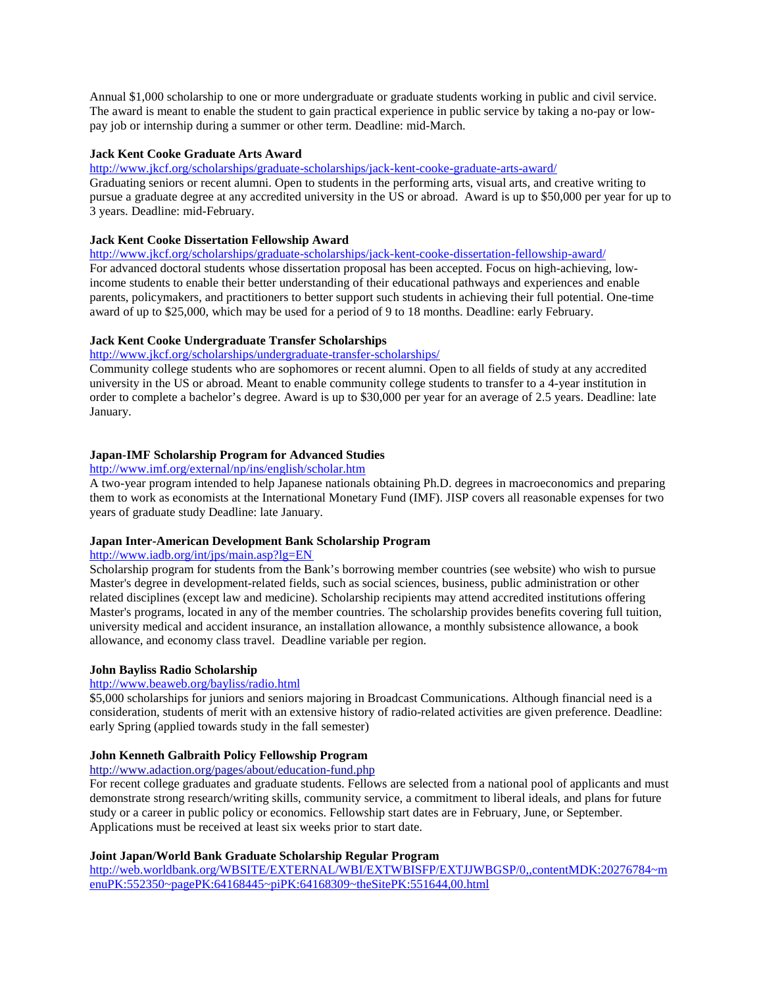Annual \$1,000 scholarship to one or more undergraduate or graduate students working in public and civil service. The award is meant to enable the student to gain practical experience in public service by taking a no-pay or lowpay job or internship during a summer or other term. Deadline: mid-March.

## **Jack Kent Cooke Graduate Arts Award**

<http://www.jkcf.org/scholarships/graduate-scholarships/jack-kent-cooke-graduate-arts-award/>

Graduating seniors or recent alumni. Open to students in the performing arts, visual arts, and creative writing to pursue a graduate degree at any accredited university in the US or abroad. Award is up to \$50,000 per year for up to 3 years. Deadline: mid-February.

## **Jack Kent Cooke Dissertation Fellowship Award**

<http://www.jkcf.org/scholarships/graduate-scholarships/jack-kent-cooke-dissertation-fellowship-award/> For advanced doctoral students whose dissertation proposal has been accepted. Focus on high-achieving, lowincome students to enable their better understanding of their educational pathways and experiences and enable parents, policymakers, and practitioners to better support such students in achieving their full potential. One-time award of up to \$25,000, which may be used for a period of 9 to 18 months. Deadline: early February.

## **Jack Kent Cooke Undergraduate Transfer Scholarships**

#### <http://www.jkcf.org/scholarships/undergraduate-transfer-scholarships/>

Community college students who are sophomores or recent alumni. Open to all fields of study at any accredited university in the US or abroad. Meant to enable community college students to transfer to a 4-year institution in order to complete a bachelor's degree. Award is up to \$30,000 per year for an average of 2.5 years. Deadline: late January.

# **Japan-IMF Scholarship Program for Advanced Studies**

# <http://www.imf.org/external/np/ins/english/scholar.htm>

A two-year program intended to help Japanese nationals obtaining Ph.D. degrees in macroeconomics and preparing them to work as economists at the International Monetary Fund (IMF). JISP covers all reasonable expenses for two years of graduate study Deadline: late January.

## **Japan Inter-American Development Bank Scholarship Program**

# http://www.iadb.org/int/jps/main.asp?lg=EN

Scholarship program for students from the Bank's borrowing member countries (see website) who wish to pursue Master's degree in development-related fields, such as social sciences, business, public administration or other related disciplines (except law and medicine). Scholarship recipients may attend accredited institutions offering Master's programs, located in any of the member countries. The scholarship provides benefits covering full tuition, university medical and accident insurance, an installation allowance, a monthly subsistence allowance, a book allowance, and economy class travel. Deadline variable per region.

#### **John Bayliss Radio Scholarship**

## <http://www.beaweb.org/bayliss/radio.html>

\$5,000 scholarships for juniors and seniors majoring in Broadcast Communications. Although financial need is a consideration, students of merit with an extensive history of radio-related activities are given preference. Deadline: early Spring (applied towards study in the fall semester)

## **[John](http://www.adaction.org/pages/about/education-fund.php) [Kenneth](http://www.adaction.org/pages/about/education-fund.php) [Galbraith](http://www.adaction.org/pages/about/education-fund.php) [Policy](http://www.adaction.org/pages/about/education-fund.php) [Fellowship](http://www.adaction.org/pages/about/education-fund.php) [Program](http://www.adaction.org/pages/about/education-fund.php)**

## <http://www.adaction.org/pages/about/education-fund.php>

For recent college graduates and graduate students. Fellows are selected from a national pool of applicants and must demonstrate strong research/writing skills, community service, a commitment to liberal ideals, and plans for future study or a career in public policy or economics. Fellowship start dates are in February, June, or September. Applications must be received at least six weeks prior to start date.

## **Joint Japan/World Bank Graduate Scholarship Regular Program**

[http://web.worldbank.org/WBSITE/EXTERNAL/WBI/EXTWBISFP/EXTJJWBGSP/0,,contentMDK:20276784~m](http://web.worldbank.org/WBSITE/EXTERNAL/WBI/EXTWBISFP/EXTJJWBGSP/0,,contentMDK:20276784~menuPK:552350~pagePK:64168445~piPK:64168309~theSitePK:551644,00.html) [enuPK:552350~pagePK:64168445~piPK:64168309~theSitePK:551644,00.html](http://web.worldbank.org/WBSITE/EXTERNAL/WBI/EXTWBISFP/EXTJJWBGSP/0,,contentMDK:20276784~menuPK:552350~pagePK:64168445~piPK:64168309~theSitePK:551644,00.html)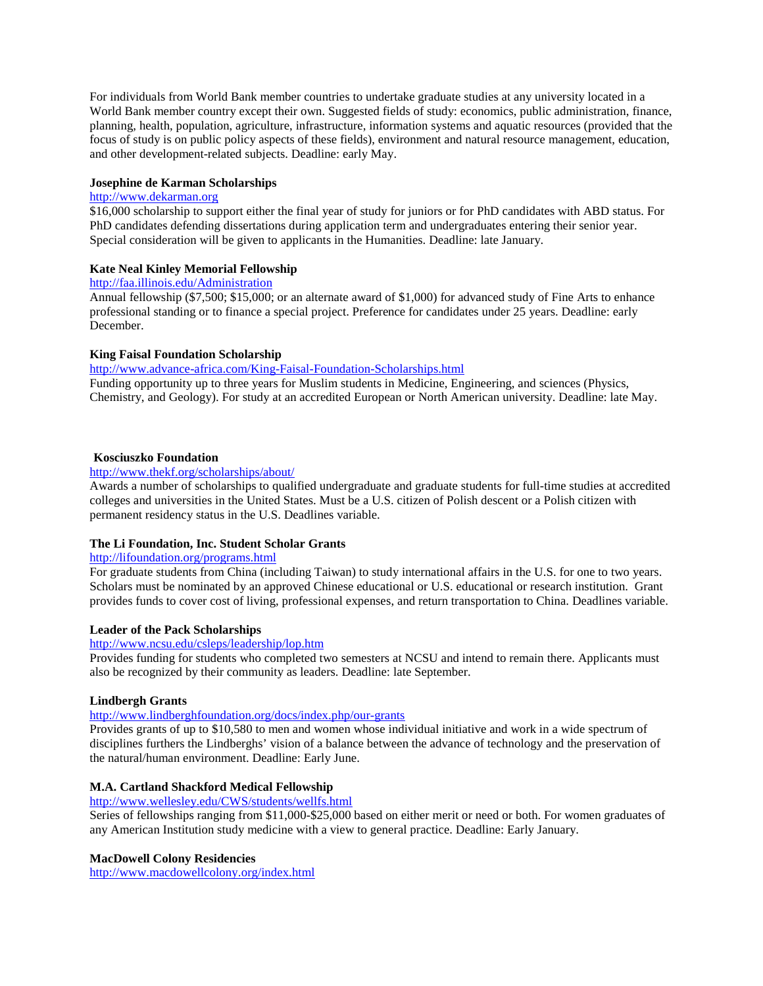For individuals from World Bank member countries to undertake graduate studies at any university located in a World Bank member country except their own. Suggested fields of study: economics, public administration, finance, planning, health, population, agriculture, infrastructure, information systems and aquatic resources (provided that the focus of study is on public policy aspects of these fields), environment and natural resource management, education, and other development-related subjects. Deadline: early May.

## **Josephine de Karman Scholarships**

## [http://www.dekarman.org](http://www.dekarman.org/)

\$16,000 scholarship to support either the final year of study for juniors or for PhD candidates with ABD status. For PhD candidates defending dissertations during application term and undergraduates entering their senior year. Special consideration will be given to applicants in the Humanities. Deadline: late January.

## **Kate Neal Kinley Memorial Fellowship**

# <http://faa.illinois.edu/Administration>

Annual fellowship (\$7,500; \$15,000; or an alternate award of \$1,000) for advanced study of Fine Arts to enhance professional standing or to finance a special project. Preference for candidates under 25 years. Deadline: early December.

## **King Faisal Foundation Scholarship**

<http://www.advance-africa.com/King-Faisal-Foundation-Scholarships.html>

Funding opportunity up to three years for Muslim students in Medicine, Engineering, and sciences (Physics, Chemistry, and Geology). For study at an accredited European or North American university. Deadline: late May.

## **[Kosciuszko](http://www.thekf.org/) [Foundation](http://www.thekf.org/)**

# <http://www.thekf.org/scholarships/about/>

Awards a number of scholarships to qualified undergraduate and graduate students for full-time studies at accredited colleges and universities in the United States. Must be a U.S. citizen of Polish descent or a Polish citizen with permanent residency status in the U.S. Deadlines variable.

## **The Li Foundation, Inc. Student Scholar Grants**

# <http://lifoundation.org/programs.html>

For graduate students from China (including Taiwan) to study international affairs in the U.S. for one to two years. Scholars must be nominated by an approved Chinese educational or U.S. educational or research institution. Grant provides funds to cover cost of living, professional expenses, and return transportation to China. Deadlines variable.

## **Leader of the Pack Scholarships**

# <http://www.ncsu.edu/csleps/leadership/lop.htm>

Provides funding for students who completed two semesters at NCSU and intend to remain there. Applicants must also be recognized by their community as leaders. Deadline: late September.

#### **Lindbergh Grants**

## <http://www.lindberghfoundation.org/docs/index.php/our-grants>

Provides grants of up to \$10,580 to men and women whose individual initiative and work in a wide spectrum of disciplines furthers the Lindberghs' vision of a balance between the advance of technology and the preservation of the natural/human environment. Deadline: Early June.

## **M.A. Cartland Shackford Medical Fellowship**

## <http://www.wellesley.edu/CWS/students/wellfs.html> Series of fellowships ranging from \$11,000-\$25,000 based on either merit or need or both. For women graduates of any American Institution study medicine with a view to general practice. Deadline: Early January.

## **MacDowell Colony Residencies**

<http://www.macdowellcolony.org/index.html>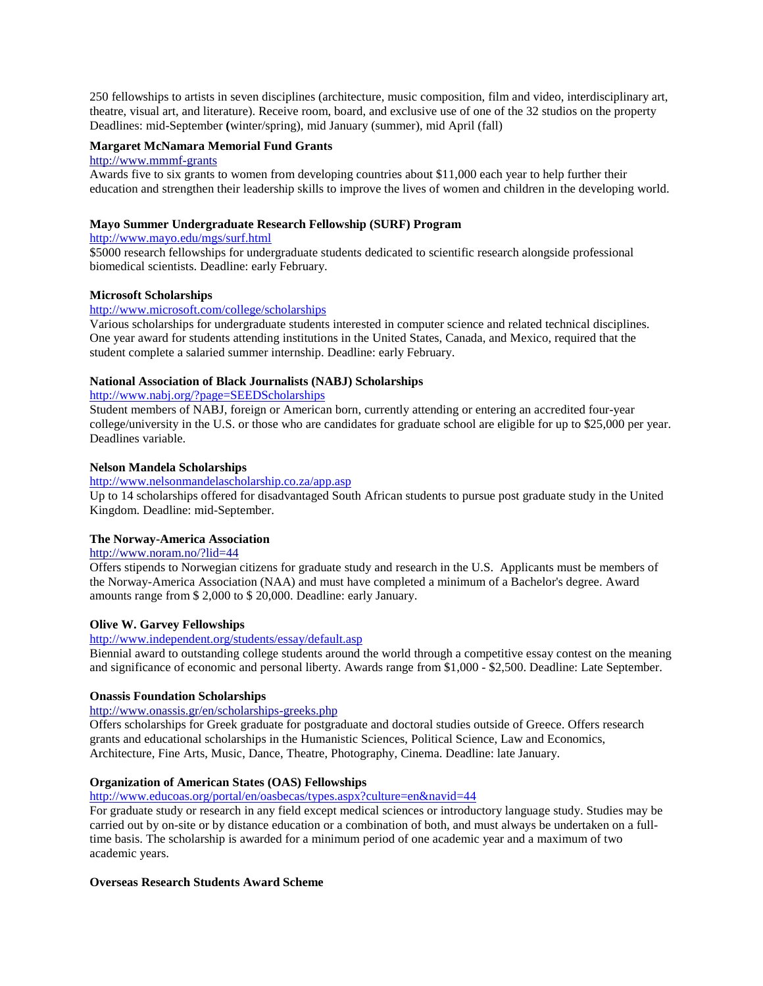250 fellowships to artists in seven disciplines (architecture, music composition, film and video, interdisciplinary art, theatre, visual art, and literature). Receive room, board, and exclusive use of one of the 32 studios on the property Deadlines: mid-September **(**winter/spring), mid January (summer), mid April (fall)

## **Margaret McNamara Memorial Fund Grants**

#### [http://www.mmmf-grants](http://www.mmmf-grants/)

Awards five to six grants to women from developing countries about \$11,000 each year to help further their education and strengthen their leadership skills to improve the lives of women and children in the developing world.

## **Mayo Summer Undergraduate Research Fellowship (SURF) Program**

## <http://www.mayo.edu/mgs/surf.html>

\$5000 research fellowships for undergraduate students dedicated to scientific research alongside professional biomedical scientists. Deadline: early February.

#### **Microsoft Scholarships**

## <http://www.microsoft.com/college/scholarships>

Various scholarships for undergraduate students interested in computer science and related technical disciplines. One year award for students attending institutions in the United States, Canada, and Mexico, required that the student complete a salaried summer internship. Deadline: early February.

## **National Association of Black Journalists (NABJ) Scholarships**

<http://www.nabj.org/?page=SEEDScholarships>

Student members of NABJ, foreign or American born, currently attending or entering an accredited four-year college/university in the U.S. or those who are candidates for graduate school are eligible for up to \$25,000 per year. Deadlines variable.

## **Nelson Mandela Scholarships**

### <http://www.nelsonmandelascholarship.co.za/app.asp>

Up to 14 scholarships offered for disadvantaged South African students to pursue post graduate study in the United Kingdom. Deadline: mid-September.

#### **[The](http://www.noram.no/?lid=44) [Norway-America](http://www.noram.no/?lid=44) [Association](http://www.noram.no/?lid=44)**

## <http://www.noram.no/?lid=44>

Offers stipends to Norwegian citizens for graduate study and research in the U.S. Applicants must be members of the Norway-America Association (NAA) and must have completed a minimum of a Bachelor's degree. Award amounts range from \$ 2,000 to \$ 20,000. Deadline: early January.

#### **Olive W. Garvey Fellowships**

## <http://www.independent.org/students/essay/default.asp>

Biennial award to outstanding college students around the world through a competitive essay contest on the meaning and significance of economic and personal liberty. Awards range from \$1,000 - \$2,500. Deadline: Late September.

#### **[Onassis](http://www.onassis.gr/sectpage.php?lang=en&secID=3&subID=4&sub2ID=2) [Foundation](http://www.onassis.gr/sectpage.php?lang=en&secID=3&subID=4&sub2ID=2) [Scholarships](http://www.onassis.gr/sectpage.php?lang=en&secID=3&subID=4&sub2ID=2)**

#### <http://www.onassis.gr/en/scholarships-greeks.php>

Offers scholarships for Greek graduate for postgraduate and doctoral studies outside of Greece. Offers research grants and educational scholarships in the Humanistic Sciences, Political Science, Law and Economics, Architecture, Fine Arts, Music, Dance, Theatre, Photography, Cinema. Deadline: late January.

## **Organization of American States (OAS) Fellowships**

<http://www.educoas.org/portal/en/oasbecas/types.aspx?culture=en&navid=44>

For graduate study or research in any field except medical sciences or introductory language study. Studies may be carried out by on-site or by distance education or a combination of both, and must always be undertaken on a fulltime basis. The scholarship is awarded for a minimum period of one academic year and a maximum of two academic years.

## **Overseas Research Students Award Scheme**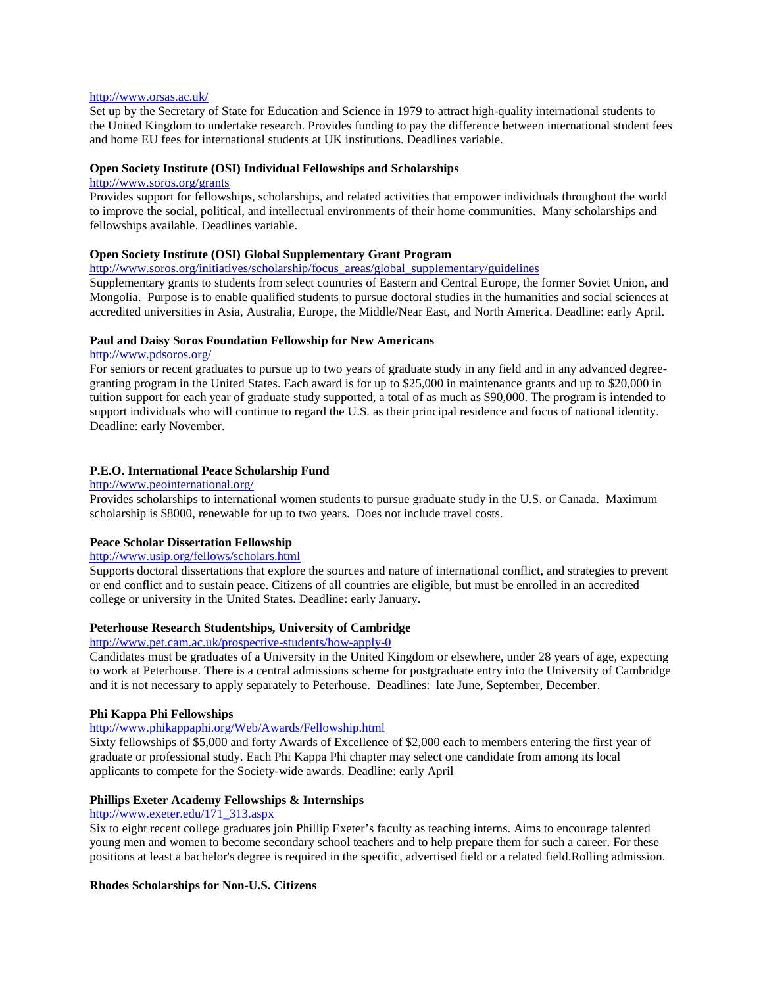#### <http://www.orsas.ac.uk/>

[Set](http://www.orsas.ac.uk/) [up](http://www.orsas.ac.uk/) [by](http://www.orsas.ac.uk/) [the](http://www.orsas.ac.uk/) [Secretary](http://www.orsas.ac.uk/) [of](http://www.orsas.ac.uk/) [State](http://www.orsas.ac.uk/) [for](http://www.orsas.ac.uk/) [Education](http://www.orsas.ac.uk/) [and](http://www.orsas.ac.uk/) [Science](http://www.orsas.ac.uk/) [in](http://www.orsas.ac.uk/) [1979 to](http://www.orsas.ac.uk/) [attract](http://www.orsas.ac.uk/) [high-quality](http://www.orsas.ac.uk/) [international](http://www.orsas.ac.uk/) [students](http://www.orsas.ac.uk/) [to](http://www.orsas.ac.uk/) [the](http://www.orsas.ac.uk/) [United](http://www.orsas.ac.uk/) [Kingdom](http://www.orsas.ac.uk/) [to](http://www.orsas.ac.uk/) [undertake](http://www.orsas.ac.uk/) [research.](http://www.orsas.ac.uk/) Provides funding to pay the difference between international student fees and home EU fees for international students at UK institutions. Deadlines variable.

#### **[Open](http://www.soros.org/initiatives/scholarship) [Society](http://www.soros.org/initiatives/scholarship) [Institute](http://www.soros.org/initiatives/scholarship) [\(OSI\) Individual](http://www.soros.org/initiatives/scholarship) [Fellowships](http://www.soros.org/initiatives/scholarship) [and](http://www.soros.org/initiatives/scholarship) [Scholarships](http://www.soros.org/initiatives/scholarship)**

#### <http://www.soros.org/grants>

Provides support for fellowships, scholarships, and related activities that empower individuals throughout the world to improve the social, political, and intellectual environments of their home communities. Many scholarships and fellowships available. Deadlines variable.

## **[Open](http://www.soros.org/initiatives/scholarship/focus_areas/global_supplementary/) [Society](http://www.soros.org/initiatives/scholarship/focus_areas/global_supplementary/) [Institute](http://www.soros.org/initiatives/scholarship/focus_areas/global_supplementary/) [\(OSI\) Global](http://www.soros.org/initiatives/scholarship/focus_areas/global_supplementary/) [Supplementary](http://www.soros.org/initiatives/scholarship/focus_areas/global_supplementary/) [Grant](http://www.soros.org/initiatives/scholarship/focus_areas/global_supplementary/) [Program](http://www.soros.org/initiatives/scholarship/focus_areas/global_supplementary/)**

[http://www.soros.org/initiatives/scholarship/focus\\_areas/global\\_supplementary/guidelines](http://www.soros.org/initiatives/scholarship/focus_areas/global_supplementary/guidelines)

Supplementary grants to students from select countries of Eastern and Central Europe, the former Soviet Union, and Mongolia. Purpose is to enable qualified students to pursue doctoral studies in the humanities and social sciences at accredited universities in Asia, Australia, Europe, the Middle/Near East, and North America. Deadline: early April.

#### **[Paul](http://www.pdsoros.org/) [and](http://www.pdsoros.org/) [Daisy](http://www.pdsoros.org/) [Soros](http://www.pdsoros.org/) [Foundation](http://www.pdsoros.org/) [Fellowship](http://www.pdsoros.org/) [for](http://www.pdsoros.org/) [New](http://www.pdsoros.org/) [Americans](http://www.pdsoros.org/)**

#### <http://www.pdsoros.org/>

For seniors or recent graduates to pursue up to two years of graduate study in any field and in any advanced degreegranting program in the United States. Each award is for up to \$25,000 in maintenance grants and up to \$20,000 in tuition support for each year of graduate study supported, a total of as much as \$90,000. The program is intended to support individuals who will continue to regard the U.S. as their principal residence and focus of national identity. Deadline: early November.

#### **[P.E.O. International](http://www.peointernational.org/) [Peace](http://www.peointernational.org/) [Scholarship](http://www.peointernational.org/) [Fund](http://www.peointernational.org/)**

#### <http://www.peointernational.org/>

Provides scholarships to international women students to pursue graduate study in the U.S. or Canada. Maximum scholarship is \$8000, renewable for up to two years. Does not include travel costs.

## **Peace Scholar Dissertation Fellowship**

## <http://www.usip.org/fellows/scholars.html>

Supports doctoral dissertations that explore the sources and nature of international conflict, and strategies to prevent or end conflict and to sustain peace. Citizens of all countries are eligible, but must be enrolled in an accredited college or university in the United States. Deadline: early January.

### **Peterhouse Research Studentships, University of Cambridge**

<http://www.pet.cam.ac.uk/prospective-students/how-apply-0>

Candidates must be graduates of a University in the United Kingdom or elsewhere, under 28 years of age, expecting to work at Peterhouse. There is a central admissions scheme for postgraduate entry into the University of Cambridge and it is not necessary to apply separately to Peterhouse. Deadlines: late June, September, December.

#### **Phi Kappa Phi Fellowships**

<http://www.phikappaphi.org/Web/Awards/Fellowship.html>

Sixty fellowships of \$5,000 and forty Awards of Excellence of \$2,000 each to members entering the first year of graduate or professional study. Each Phi Kappa Phi chapter may select one candidate from among its local applicants to compete for the Society-wide awards. Deadline: early April

## **Phillips Exeter Academy Fellowships & Internships**

## [http://www.exeter.edu/171\\_313.aspx](http://www.exeter.edu/171_313.aspx)

Six to eight recent college graduates join Phillip Exeter's faculty as teaching interns. Aims to encourage talented young men and women to become secondary school teachers and to help prepare them for such a career. For these positions at least a bachelor's degree is required in the specific, advertised field or a related field.Rolling admission.

#### **Rhodes Scholarships for Non-U.S. Citizens**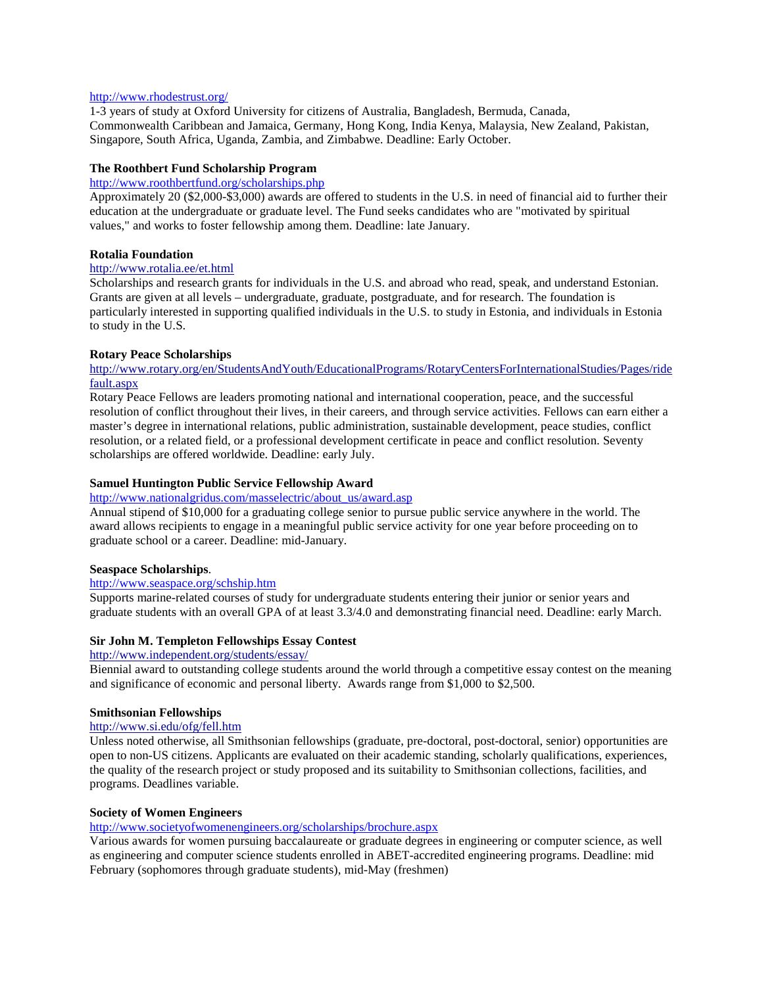#### <http://www.rhodestrust.org/>

1-3 years of study at Oxford University for citizens of Australia, Bangladesh, Bermuda, Canada, Commonwealth Caribbean and Jamaica, Germany, Hong Kong, India Kenya, Malaysia, New Zealand, Pakistan, Singapore, South Africa, Uganda, Zambia, and Zimbabwe. Deadline: Early October.

## **The Roothbert Fund Scholarship Program**

#### <http://www.roothbertfund.org/scholarships.php>

Approximately 20 (\$2,000-\$3,000) awards are offered to students in the U.S. in need of financial aid to further their education at the undergraduate or graduate level. The Fund seeks candidates who are "motivated by spiritual values," and works to foster fellowship among them. Deadline: late January.

#### **[Rotalia](http://www.rotalia.ee/) [Foundation](http://www.rotalia.ee/)**

## <http://www.rotalia.ee/et.html>

Scholarships and research grants for individuals in the U.S. and abroad who read, speak, and understand Estonian. Grants are given at all levels – undergraduate, graduate, postgraduate, and for research. The foundation is particularly interested in supporting qualified individuals in the U.S. to study in Estonia, and individuals in Estonia to study in the U.S.

#### **[Rotary](http://www.rotary.org/en/StudentsAndYouth/EducationalPrograms/RotaryCentersForInternationalStudies/Pages/ridefault.aspx) [Peace](http://www.rotary.org/en/StudentsAndYouth/EducationalPrograms/RotaryCentersForInternationalStudies/Pages/ridefault.aspx) [Scholarships](http://www.rotary.org/en/StudentsAndYouth/EducationalPrograms/RotaryCentersForInternationalStudies/Pages/ridefault.aspx)**

## [http://www.rotary.org/en/StudentsAndYouth/EducationalPrograms/RotaryCentersForInternationalStudies/Pages/ride](http://www.rotary.org/en/StudentsAndYouth/EducationalPrograms/RotaryCentersForInternationalStudies/Pages/ridefault.aspx) [fault.aspx](http://www.rotary.org/en/StudentsAndYouth/EducationalPrograms/RotaryCentersForInternationalStudies/Pages/ridefault.aspx)

Rotary Peace Fellows are leaders promoting national and international cooperation, peace, and the successful resolution of conflict throughout their lives, in their careers, and through service activities. Fellows can earn either a master's degree in international relations, public administration, sustainable development, peace studies, conflict resolution, or a related field, or a professional development certificate in peace and conflict resolution. Seventy scholarships are offered worldwide. Deadline: early July.

## **Samuel Huntington Public Service Fellowship Award**

# [http://www.nationalgridus.com/masselectric/about\\_us/award.asp](http://www.nationalgridus.com/masselectric/about_us/award.asp)

Annual stipend of \$10,000 for a graduating college senior to pursue public service anywhere in the world. The award allows recipients to engage in a meaningful public service activity for one year before proceeding on to graduate school or a career. Deadline: mid-January.

## **Seaspace Scholarships**.

## <http://www.seaspace.org/schship.htm>

Supports marine-related courses of study for undergraduate students entering their junior or senior years and graduate students with an overall GPA of at least 3.3/4.0 and demonstrating financial need. Deadline: early March.

#### **[Sir](http://www.independent.org/students/essay/) [John](http://www.independent.org/students/essay/) [M. Templeton](http://www.independent.org/students/essay/) [Fellowships](http://www.independent.org/students/essay/) [Essay](http://www.independent.org/students/essay/) [Contest](http://www.independent.org/students/essay/)**

## <http://www.independent.org/students/essay/>

Biennial award to outstanding college students around the world through a competitive essay contest on the meaning and significance of economic and personal liberty. Awards range from \$1,000 to \$2,500.

#### **[Smithsonian](http://www.si.edu/ofg/fell.htm) [Fellowships](http://www.si.edu/ofg/fell.htm)**

# <http://www.si.edu/ofg/fell.htm>

Unless noted otherwise, all Smithsonian fellowships (graduate, pre-doctoral, post-doctoral, senior) opportunities are open to non-US citizens. Applicants are evaluated on their academic standing, scholarly qualifications, experiences, the quality of the research project or study proposed and its suitability to Smithsonian collections, facilities, and programs. Deadlines variable.

#### **Society of Women Engineers**

### <http://www.societyofwomenengineers.org/scholarships/brochure.aspx>

Various awards for women pursuing baccalaureate or graduate degrees in engineering or computer science, as well as engineering and computer science students enrolled in ABET-accredited engineering programs. Deadline: mid February (sophomores through graduate students), mid-May (freshmen)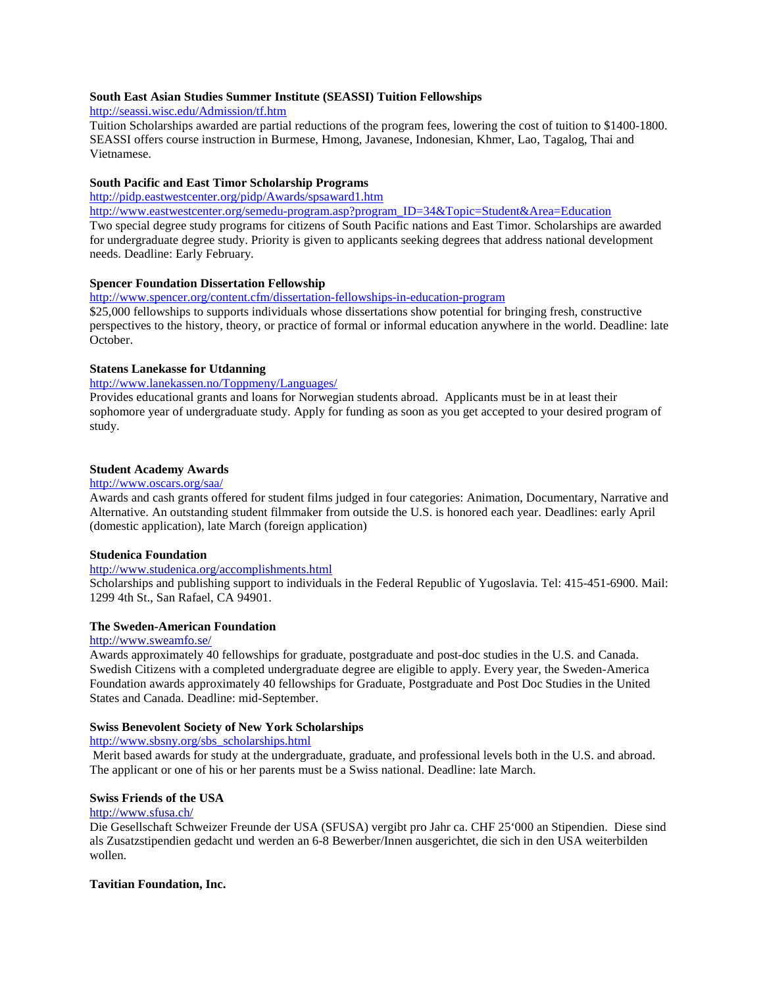## **South East Asian Studies Summer Institute (SEASSI) Tuition Fellowships**

<http://seassi.wisc.edu/Admission/tf.htm>

Tuition Scholarships awarded are partial reductions of the program fees, lowering the cost of tuition to \$1400-1800. SEASSI offers course instruction in Burmese, Hmong, Javanese, Indonesian, Khmer, Lao, Tagalog, Thai and Vietnamese.

## **South Pacific and East Timor Scholarship Programs**

<http://pidp.eastwestcenter.org/pidp/Awards/spsaward1.htm>

[http://www.eastwestcenter.org/semedu-program.asp?program\\_ID=34&Topic=Student&Area=Education](http://www.eastwestcenter.org/semedu-program.asp?program_ID=34&Topic=Student&Area=Education) Two special degree study programs for citizens of South Pacific nations and East Timor. Scholarships are awarded for undergraduate degree study. Priority is given to applicants seeking degrees that address national development needs. Deadline: Early February.

# **Spencer Foundation Dissertation Fellowship**

<http://www.spencer.org/content.cfm/dissertation-fellowships-in-education-program>

\$25,000 fellowships to supports individuals whose dissertations show potential for bringing fresh, constructive perspectives to the history, theory, or practice of formal or informal education anywhere in the world. Deadline: late October.

## **[Statens](http://www.lanekassen.no/Toppmeny/Languages/) [Lanekasse](http://www.lanekassen.no/Toppmeny/Languages/) [for](http://www.lanekassen.no/Toppmeny/Languages/) [Utdanning](http://www.lanekassen.no/Toppmeny/Languages/)**

http://www.lanekassen.no/Toppmeny/Languages/

Provides educational grants and loans for Norwegian students abroad. Applicants must be in at least their sophomore year of undergraduate study. Apply for funding as soon as you get accepted to your desired program of study.

## **Student Academy Awards**

## <http://www.oscars.org/saa/>

Awards and cash grants offered for student films judged in four categories: Animation, Documentary, Narrative and Alternative. An outstanding student filmmaker from outside the U.S. is honored each year. Deadlines: early April (domestic application), late March (foreign application)

## **[Studenica](http://www.studenica.org/accomplishments.html) [Foundation](http://www.studenica.org/accomplishments.html)**

## <http://www.studenica.org/accomplishments.html>

Scholarships and publishing support to individuals in the Federal Republic of Yugoslavia. Tel: 415-451-6900. Mail: 1299 4th St., San Rafael, CA 94901.

## **[The](http://www.sweamfo.se/) [Sweden-American](http://www.sweamfo.se/) [Foundation](http://www.sweamfo.se/)**

#### <http://www.sweamfo.se/>

Awards approximately 40 fellowships for graduate, postgraduate and post-doc studies in the U.S. and Canada. Swedish Citizens with a completed undergraduate degree are eligible to apply. Every year, the Sweden-America Foundation awards approximately 40 fellowships for Graduate, Postgraduate and Post Doc Studies in the United States and Canada. Deadline: mid-September.

#### **Swiss Benevolent Society of New York Scholarships**

[http://www.sbsny.org/sbs\\_scholarships.html](http://www.sbsny.org/sbs_scholarships.html)

Merit based awards for study at the undergraduate, graduate, and professional levels both in the U.S. and abroad. The applicant or one of his or her parents must be a Swiss national. Deadline: late March.

## **[Swiss](http://www.sfusa.ch/) [Friends](http://www.sfusa.ch/) [of](http://www.sfusa.ch/) [the](http://www.sfusa.ch/) [USA](http://www.sfusa.ch/)**

## <http://www.sfusa.ch/>

Die Gesellschaft Schweizer Freunde der USA (SFUSA) vergibt pro Jahr ca. CHF 25'000 an Stipendien. Diese sind als Zusatzstipendien gedacht und werden an 6-8 Bewerber/Innen ausgerichtet, die sich in den USA weiterbilden wollen.

#### **Tavitian Foundation, Inc.**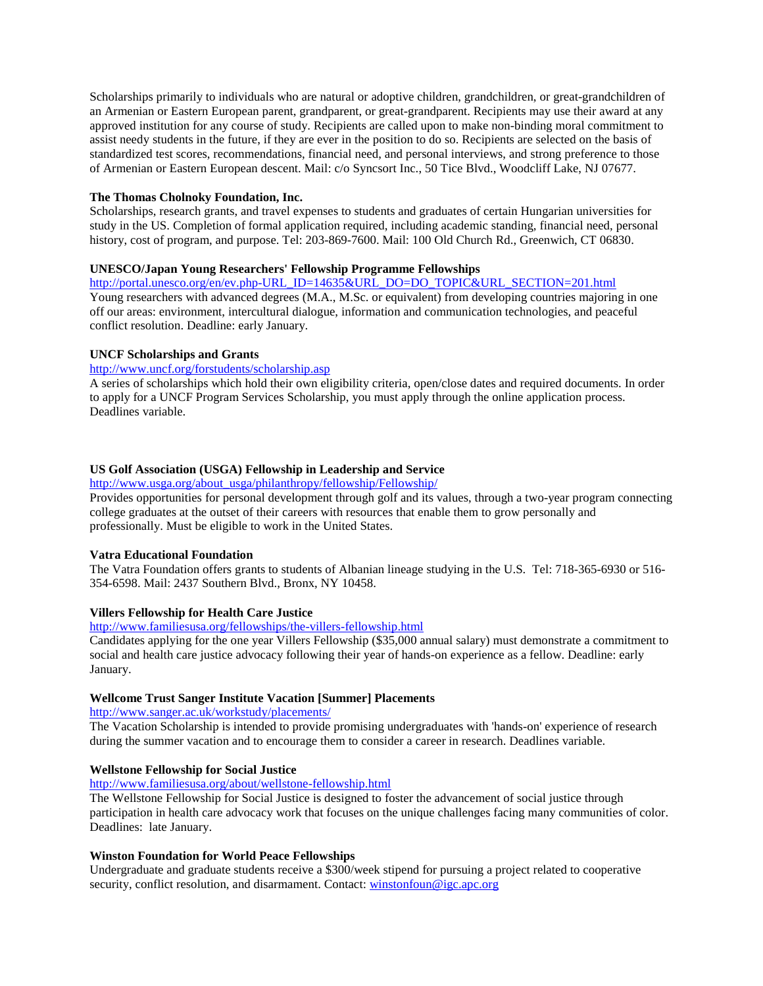Scholarships primarily to individuals who are natural or adoptive children, grandchildren, or great-grandchildren of an Armenian or Eastern European parent, grandparent, or great-grandparent. Recipients may use their award at any approved institution for any course of study. Recipients are called upon to make non-binding moral commitment to assist needy students in the future, if they are ever in the position to do so. Recipients are selected on the basis of standardized test scores, recommendations, financial need, and personal interviews, and strong preference to those of Armenian or Eastern European descent. Mail: c/o Syncsort Inc., 50 Tice Blvd., Woodcliff Lake, NJ 07677.

### **The Thomas Cholnoky Foundation, Inc.**

Scholarships, research grants, and travel expenses to students and graduates of certain Hungarian universities for study in the US. Completion of formal application required, including academic standing, financial need, personal history, cost of program, and purpose. Tel: 203-869-7600. Mail: 100 Old Church Rd., Greenwich, CT 06830.

## **UNESCO/Japan Young Researchers' Fellowship Programme Fellowships**

[http://portal.unesco.org/en/ev.php-URL\\_ID=14635&URL\\_DO=DO\\_TOPIC&URL\\_SECTION=201.html](http://portal.unesco.org/en/ev.php-URL_ID=14635&URL_DO=DO_TOPIC&URL_SECTION=201.html) Young researchers with advanced degrees (M.A., M.Sc. or equivalent) from developing countries majoring in one off our areas: environment, intercultural dialogue, information and communication technologies, and peaceful conflict resolution. Deadline: early January.

#### **UNCF Scholarships and Grants**

## <http://www.uncf.org/forstudents/scholarship.asp>

A series of scholarships which hold their own eligibility criteria, open/close dates and required documents. In order to apply for a UNCF Program Services Scholarship, you must apply through the online application process. Deadlines variable.

#### **US Golf Association (USGA) Fellowship in Leadership and Service**

[http://www.usga.org/about\\_usga/philanthropy/fellowship/Fellowship/](http://www.usga.org/about_usga/philanthropy/fellowship/Fellowship/)

Provides opportunities for personal development through golf and its values, through a two-year program connecting college graduates at the outset of their careers with resources that enable them to grow personally and professionally. Must be eligible to work in the United States.

#### **Vatra Educational Foundation**

The Vatra Foundation offers grants to students of Albanian lineage studying in the U.S. Tel: 718-365-6930 or 516- 354-6598. Mail: 2437 Southern Blvd., Bronx, NY 10458.

## **Villers Fellowship for Health Care Justice**

<http://www.familiesusa.org/fellowships/the-villers-fellowship.html>

Candidates applying for the one year Villers Fellowship (\$35,000 annual salary) must demonstrate a commitment to social and health care justice advocacy following their year of hands-on experience as a fellow. Deadline: early January.

## **Wellcome Trust Sanger Institute Vacation [Summer] Placements**

<http://www.sanger.ac.uk/workstudy/placements/>

The Vacation Scholarship is intended to provide promising undergraduates with 'hands-on' experience of research during the summer vacation and to encourage them to consider a career in research. Deadlines variable.

## **Wellstone Fellowship for Social Justice**

<http://www.familiesusa.org/about/wellstone-fellowship.html>

The Wellstone Fellowship for Social Justice is designed to foster the advancement of social justice through participation in health care advocacy work that focuses on the unique challenges facing many communities of color. Deadlines: late January.

## **Winston Foundation for World Peace Fellowships**

Undergraduate and graduate students receive a \$300/week stipend for pursuing a project related to cooperative security, conflict resolution, and disarmament. Contact[: winstonfoun@igc.apc.org](mailto:%20winstonfoun@igc.apc.org)